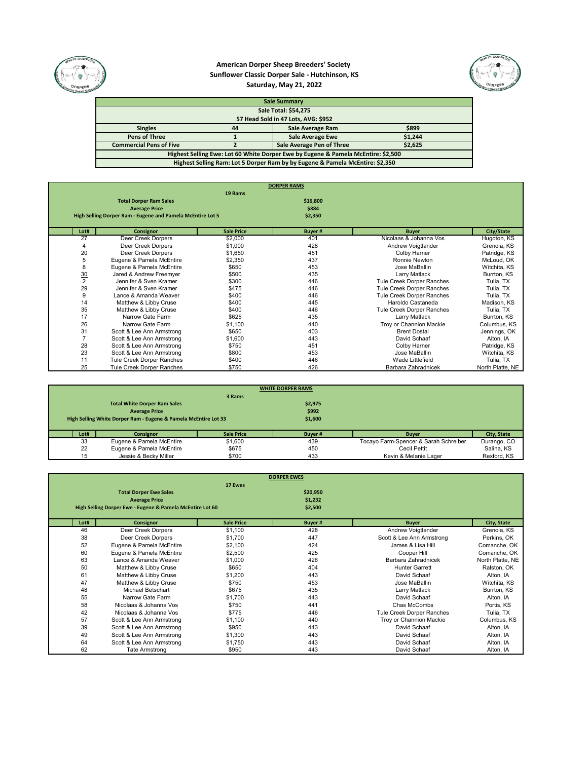

## **American Dorper Sheep Breeders' Society Sunflower Classic Dorper Sale - Hutchinson, KS Saturday, May 21, 2022**



| <b>Sale Summary</b>                                                               |                                      |                                                                               |  |  |  |  |
|-----------------------------------------------------------------------------------|--------------------------------------|-------------------------------------------------------------------------------|--|--|--|--|
|                                                                                   |                                      | <b>Sale Total: \$54,275</b>                                                   |  |  |  |  |
|                                                                                   |                                      | 57 Head Sold in 47 Lots, AVG: \$952                                           |  |  |  |  |
| <b>Singles</b>                                                                    | \$899<br>Sale Average Ram<br>44      |                                                                               |  |  |  |  |
| <b>Pens of Three</b>                                                              | <b>Sale Average Ewe</b><br>\$1,244   |                                                                               |  |  |  |  |
| <b>Commercial Pens of Five</b>                                                    | Sale Average Pen of Three<br>\$2,625 |                                                                               |  |  |  |  |
| Highest Selling Ewe: Lot 60 White Dorper Ewe by Eugene & Pamela McEntire: \$2,500 |                                      |                                                                               |  |  |  |  |
|                                                                                   |                                      | Highest Selling Ram: Lot 5 Dorper Ram by by Eugene & Pamela McEntire: \$2,350 |  |  |  |  |

|                |                                                            |                   | <b>DORPER RAMS</b> |                           |                  |
|----------------|------------------------------------------------------------|-------------------|--------------------|---------------------------|------------------|
|                |                                                            | 19 Rams           |                    |                           |                  |
|                | <b>Total Dorper Ram Sales</b>                              |                   | \$16,800           |                           |                  |
|                | <b>Average Price</b>                                       |                   | \$884              |                           |                  |
|                | High Selling Dorper Ram - Eugene and Pamela McEntire Lot 5 |                   | \$2,350            |                           |                  |
|                |                                                            |                   |                    |                           |                  |
| Lot#           | Consignor                                                  | <b>Sale Price</b> | <b>Buyer#</b>      | <b>Buyer</b>              | City/State       |
| 27             | Deer Creek Dorpers                                         | \$2,000           | 401                | Nicolaas & Johanna Vos    | Hugoton, KS      |
|                | Deer Creek Dorpers                                         | \$1,000           | 428                | Andrew Voigtlander        | Grenola, KS      |
| 20             | Deer Creek Dorpers                                         | \$1,650           | 451                | Colby Harner              | Patridge, KS     |
| 5              | Eugene & Pamela McEntire                                   | \$2,350           | 437                | Ronnie Newton             | McLoud, OK       |
| 8              | Eugene & Pamela McEntire                                   | \$650             | 453                | Jose MaBallin             | Witchita, KS     |
| $\frac{30}{2}$ | Jared & Andrew Freemyer                                    | \$500             | 435                | Larry Matlack             | Burrton, KS      |
|                | Jennifer & Sven Kramer                                     | \$300             | 446                | Tule Creek Dorper Ranches | Tulia, TX        |
| 29             | Jennifer & Sven Kramer                                     | \$475             | 446                | Tule Creek Dorper Ranches | Tulia, TX        |
| 9              | Lance & Amanda Weaver                                      | \$400             | 446                | Tule Creek Dorper Ranches | Tulia, TX        |
| 14             | Matthew & Libby Cruse                                      | \$400             | 445                | Haroldo Castaneda         | Madison, KS      |
| 35             | Matthew & Libby Cruse                                      | \$400             | 446                | Tule Creek Dorper Ranches | Tulia, TX        |
| 17             | Narrow Gate Farm                                           | \$625             | 435                | Larry Matlack             | Burrton, KS      |
| 26             | Narrow Gate Farm                                           | \$1,100           | 440                | Troy or Channion Mackie   | Columbus, KS     |
| 31             | Scott & Lee Ann Armstrong                                  | \$650             | 403                | <b>Brent Dostal</b>       | Jennings, OK     |
|                | Scott & Lee Ann Armstrong                                  | \$1,600           | 443                | David Schaaf              | Alton, IA        |
| 28             | Scott & Lee Ann Armstrong                                  | \$750             | 451                | Colby Harner              | Patridge, KS     |
| 23             | Scott & Lee Ann Armstrong                                  | \$800             | 453                | Jose MaBallin             | Witchita, KS     |
| 11             | Tule Creek Dorper Ranches                                  | \$400             | 446                | Wade Littlefield          | Tulia, TX        |
| 25             | <b>Tule Creek Dorper Ranches</b>                           | \$750             | 426                | Barbara Zahradnicek       | North Platte, NE |

| <b>WHITE DORPER RAMS</b> |                                                                 |                   |         |                                       |             |  |  |  |
|--------------------------|-----------------------------------------------------------------|-------------------|---------|---------------------------------------|-------------|--|--|--|
|                          |                                                                 | 3 Rams            |         |                                       |             |  |  |  |
|                          | <b>Total White Dorper Ram Sales</b>                             |                   | \$2,975 |                                       |             |  |  |  |
|                          | <b>Average Price</b>                                            |                   | \$992   |                                       |             |  |  |  |
|                          | High Selling White Dorper Ram - Eugene & Pamela McEntire Lot 33 |                   | \$1,600 |                                       |             |  |  |  |
|                          |                                                                 |                   |         |                                       |             |  |  |  |
| Lot#                     | <b>Consignor</b>                                                | <b>Sale Price</b> | Buyer#  | <b>Buyer</b>                          | City, State |  |  |  |
| 33                       | Eugene & Pamela McEntire                                        | \$1,600           | 439     | Tocayo Farm-Spencer & Sarah Schreiber | Durango, CO |  |  |  |
| 22                       | Eugene & Pamela McEntire                                        | \$675             | 450     | Cecil Pettit                          | Salina, KS  |  |  |  |
| 15                       | Jessie & Becky Miller                                           | \$700             | 433     | Kevin & Melanie Lager                 | Rexford, KS |  |  |  |

|      |                                                           |                   | <b>DORPER EWES</b> |                           |                  |
|------|-----------------------------------------------------------|-------------------|--------------------|---------------------------|------------------|
|      |                                                           | 17 Ewes           |                    |                           |                  |
|      | <b>Total Dorper Ewe Sales</b>                             |                   | \$20,950           |                           |                  |
|      | <b>Average Price</b>                                      |                   | \$1,232            |                           |                  |
|      | High Selling Dorper Ewe - Eugene & Pamela McEntire Lot 60 |                   | \$2,500            |                           |                  |
| Lot# | <b>Consignor</b>                                          | <b>Sale Price</b> | <b>Buyer#</b>      | <b>Buyer</b>              | City, State      |
| 46   | Deer Creek Dorpers                                        | \$1,100           | 428                | Andrew Voigtlander        | Grenola, KS      |
| 38   | Deer Creek Dorpers                                        | \$1,700           | 447                | Scott & Lee Ann Armstrong | Perkins, OK      |
| 52   | Eugene & Pamela McEntire                                  | \$2,100           | 424                | James & Lisa Hill         | Comanche, OK     |
| 60   | Eugene & Pamela McEntire                                  | \$2,500           | 425                | Cooper Hill               | Comanche, OK     |
| 63   | Lance & Amanda Weaver                                     | \$1,000           | 426                | Barbara Zahradnicek       | North Platte, NE |
| 50   | Matthew & Libby Cruse                                     | \$650             | 404                | <b>Hunter Garrett</b>     | Ralston, OK      |
| 61   | Matthew & Libby Cruse                                     | \$1,200           | 443                | David Schaaf              | Alton, IA        |
| 47   | Matthew & Libby Cruse                                     | \$750             | 453                | Jose MaBallin             | Witchita, KS     |
| 48   | Michael Betschart                                         | \$675             | 435                | Larry Matlack             | Burrton, KS      |
| 55   | Narrow Gate Farm                                          | \$1,700           | 443                | David Schaaf              | Alton, IA        |
| 58   | Nicolaas & Johanna Vos                                    | \$750             | 441                | Chas McCombs              | Portis, KS       |
| 42   | Nicolaas & Johanna Vos                                    | \$775             | 446                | Tule Creek Dorper Ranches | Tulia, TX        |
| 57   | Scott & Lee Ann Armstrong                                 | \$1,100           | 440                | Troy or Channion Mackie   | Columbus, KS     |
| 39   | Scott & Lee Ann Armstrong                                 | \$950             | 443                | David Schaaf              | Alton, IA        |
| 49   | Scott & Lee Ann Armstrong                                 | \$1,300           | 443                | David Schaaf              | Alton, IA        |
| 64   | Scott & Lee Ann Armstrong                                 | \$1,750           | 443                | David Schaaf              | Alton, IA        |
| 62   | Tate Armstrong                                            | \$950             | 443                | David Schaaf              | Alton, IA        |